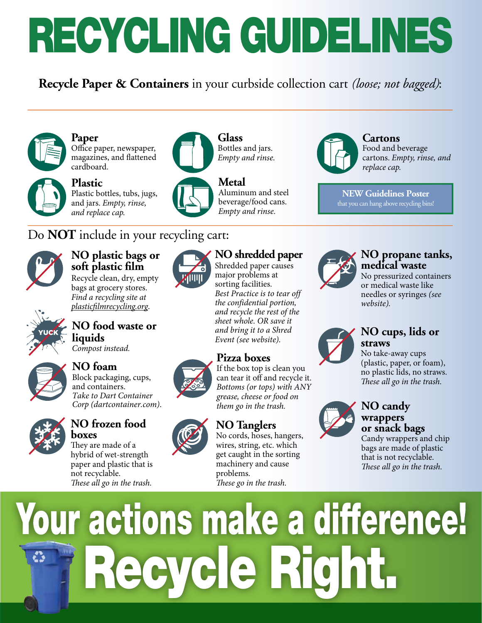# RECYCLING GUIDELINES

**Recycle Paper & Containers** in your curbside collection cart *(loose; not bagged)*:



**Paper**



Office paper, newspaper, magazines, and fattened cardboard.



## Do **NOT** include in your recycling cart:



## **NO plastic bags or soft plastic film**

Recycle clean, dry, empty bags at grocery stores. *Find a recycling site at plastic*f*lmrecycling.org*.



### **NO food waste or liquids**

*Compost instead.*



#### **NO foam**  Block packaging, cups, and containers. *Take to Dart Container*

*Corp* (dartcontainer.com).



#### **NO frozen food boxes**

They are made of a hybrid of wet-strength paper and plastic that is not recyclable. T*ese all go in the trash.*

#### **Glass**  Bottles and jars. *Empty and rinse.*



**Metal** 

Aluminum and steel beverage/food cans. *Empty and rinse.*

## **NO shredded paper**

Shredded paper causes major problems at sorting facilities. *Best Practice is to tear off*   $the$  *confidential portion, and recycle the rest of the sheet whole. OR save it and bring it to a Shred Event* (see website).

#### **Pizza boxes**

If the box top is clean you can tear it off and recycle it. *Bottoms (or tops) with ANY grease, cheese or food on them go in the trash.*

#### **NO Tanglers**

No cords, hoses, hangers, wires, string, etc. which get caught in the sorting machinery and cause problems. These go in the trash.



#### **Cartons** Food and beverage cartons. *Empty, rinse, and replace cap.*

**NEW Guidelines Poster** that you can hang above recycling bins!



#### **NO propane tanks, medical waste**

No pressurized containers or medical waste like needles or syringes *(see*  website).



#### **NO cups, lids or straws**

No take-away cups (plastic, paper, or foam), no plastic lids, no straws. T*ese all go in the trash.*



#### **NO candy wrappers or snack bags**

Candy wrappers and chip bags are made of plastic that is not recyclable. These all go in the trash.

# Your actions make a difference! Recycle Right.